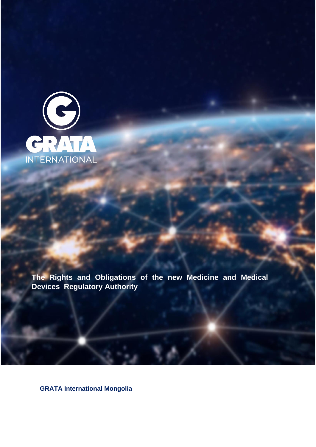

**The Rights and Obligations of the new Medicine and Medical Devices Regulatory Authority**

**GRATA International Mongolia**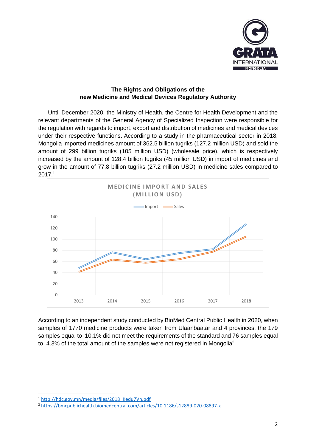

### **The Rights and Obligations of the new Medicine and Medical Devices Regulatory Authority**

 Until December 2020, the Ministry of Health, the Centre for Health Development and the relevant departments of the General Agency of Specialized Inspection were responsible for the regulation with regards to import, export and distribution of medicines and medical devices under their respective functions. According to a study in the pharmaceutical sector in 2018, Mongolia imported medicines amount of 362.5 billion tugriks (127.2 million USD) and sold the amount of 299 billion tugriks (105 million USD) (wholesale price), which is respectively increased by the amount of 128.4 billion tugriks (45 million USD) in import of medicines and grow in the amount of 77,8 billion tugriks (27.2 million USD) in medicine sales compared to 2017. 1



According to an independent study conducted by BioMed Central Public Health in 2020, when samples of 1770 medicine products were taken from Ulaanbaatar and 4 provinces, the 179 samples equal to 10.1% did not meet the requirements of the standard and 76 samples equal to 4.3% of the total amount of the samples were not registered in Mongolia<sup>2</sup>

<sup>1</sup> [http://hdc.gov.mn/media/files/2018\\_Kedu7Vn.pdf](http://hdc.gov.mn/media/files/2018_Kedu7Vn.pdf)

<sup>2</sup> <https://bmcpublichealth.biomedcentral.com/articles/10.1186/s12889-020-08897-x>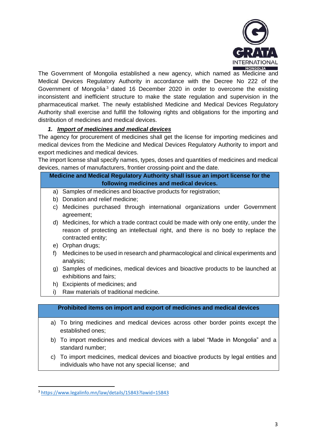

The Government of Mongolia established a new agency, which named as Medicine and Medical Devices Regulatory Authority in accordance with the Decree No 222 of the Government of Mongolia <sup>3</sup> dated 16 December 2020 in order to overcome the existing inconsistent and inefficient structure to make the state regulation and supervision in the pharmaceutical market. The newly established Medicine and Medical Devices Regulatory Authority shall exercise and fulfill the following rights and obligations for the importing and distribution of medicines and medical devices.

### *1. Import of medicines and medical devices*

The agency for procurement of medicines shall get the license for importing medicines and medical devices from the Medicine and Medical Devices Regulatory Authority to import and export medicines and medical devices.

The import license shall specify names, types, doses and quantities of medicines and medical devices, names of manufacturers, frontier crossing-point and the date.

## **Medicine and Medical Regulatory Authority shall issue an import license for the following medicines and medical devices.**

- a) Samples of medicines and bioactive products for registration;
- b) Donation and relief medicine;
- c) Medicines purchased through international organizations under Government agreement;
- d) Medicines, for which a trade contract could be made with only one entity, under the reason of protecting an intellectual right, and there is no body to replace the contracted entity;
- e) Orphan drugs;
- f) Medicines to be used in research and pharmacological and clinical experiments and analysis;
- g) Samples of medicines, medical devices and bioactive products to be launched at exhibitions and fairs;
- h) Excipients of medicines; and
- i) Raw materials of traditional medicine.

### **Prohibited items on import and export of medicines and medical devices**

- a) To bring medicines and medical devices across other border points except the established ones;
- b) To import medicines and medical devices with a label "Made in Mongolia" and a standard number;
- c) To import medicines, medical devices and bioactive products by legal entities and individuals who have not any special license; and

<sup>3</sup> <https://www.legalinfo.mn/law/details/15843?lawid=15843>